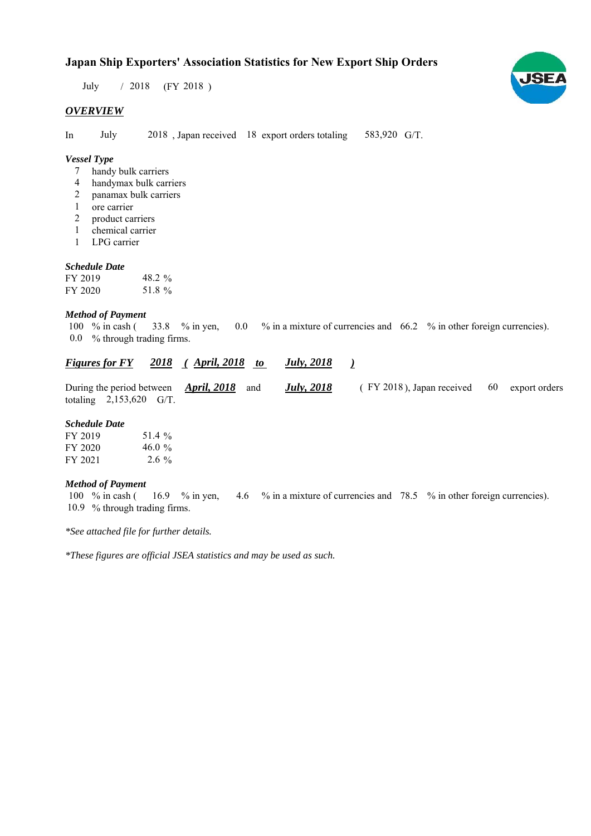# **Japan Ship Exporters' Association Statistics for New Export Ship Orders**

 $/ 2018$  (FY 2018) July

### *OVERVIEW*

In July 2018, Japan received 18 export orders totaling 583,920 G/T.

### *Vessel Type*

- handy bulk carriers 7
- handymax bulk carriers 4
- panamax bulk carriers 2
- ore carrier 1
- product carriers 2
- chemical carrier 1
- LPG carrier 1

#### *Schedule Date*

| FY 2019 | 48.2 $\%$ |  |
|---------|-----------|--|
| FY 2020 | 51.8 %    |  |

#### *Method of Payment*

% in cash ( $\frac{33.8}{8}$  % in yen, 0.0 % in a mixture of currencies and 66.2 % in other foreign currencies). % through trading firms. 0.0 33.8 % in yen, 100  $%$  in cash (

#### *<u>Figures for FY 2018 (April, 2018 to July, 2018)</u> July, 2018*

During the period between *April, 2018* and *July, 2018* (FY 2018), Japan received 60 export orders totaling  $2,153,620$  G/T. 60 (FY 2018), Japan received *July, 2018*

#### *Schedule Date*

| FY 2019 | 51.4 %    |
|---------|-----------|
| FY 2020 | 46.0 $\%$ |
| FY 2021 | $2.6\%$   |

#### *Method of Payment*

% in cash ( $\frac{16.9}{8}$  % in yen,  $\frac{4.6}{8}$  % in a mixture of currencies and 78.5 % in other foreign currencies). 10.9 % through trading firms. 100  $%$  in cash ( 16.9  $%$  in yen,

*\*See attached file for further details.*

*\*These figures are official JSEA statistics and may be used as such.*

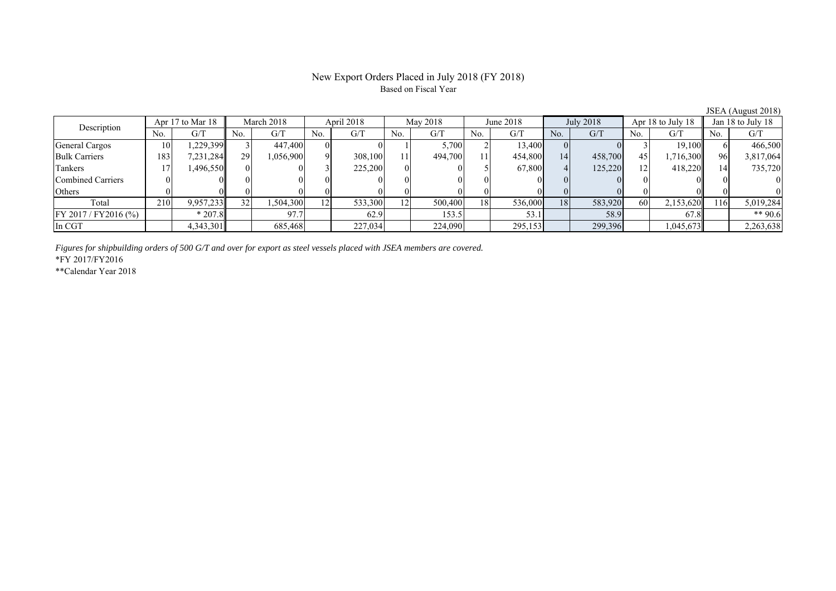### New Export Orders Placed in July 2018 (FY 2018) Based on Fiscal Year

JSEA (August 2018)<br>Jan 18 to July 18 No. G/T No. G/T No. G/T No. G/T No. G/T No. G/T No. G/T No. G/T General Cargos ( 10 1,229,399 3 447,400 0 0 1 5,700 2 13,400 0 0 3 19,100 6 466,500 Bulk Carriers 183 7,231,284 29 1,056,900 9 308,100 11 494,700 11 454,800 14 458,700 45 1,716,300 96 3,817,064 Tankers 17 1,496,550 0 0 3 225,200 0 0 5 67,800 4 125,220 12 418,220 14 735,720 Combined Carriers 0 0 0 0 0 0 0 0 0 0 0 0 0 0 0 0 Others | 0 | 0 || 0 || 0 || 0 || 0 || 0 || 0 || 0 || 0 || 0 | Total 210 9,957,233 32 1,504,300 12 533,300 12 500,400 18 536,000 18 583,920 60 2,153,620 116 5,019,284 FY 2017/FY2016 (%) \* 207.8 97.7 62.9 153.5 53.1 53.1 58.9 67.8 \*\* 90.6 In CGT 4,343,301 685,468 227,034 224,090 295,153 299,396 1,045,673 2,263,638 Description Apr 17 to Mar 18 | March 2018 | April 2018 | May 2018 June 2018 July 2018 Apr 18 to July 18

*Figures for shipbuilding orders of 500 G/T and over for export as steel vessels placed with JSEA members are covered.*

\*FY 2017/FY2016

\*\*Calendar Year 2018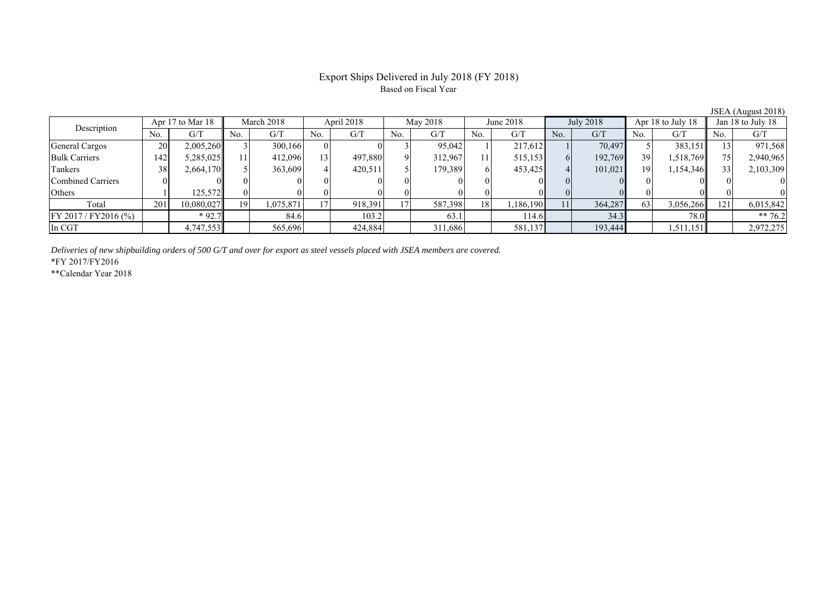## Export Ships Delivered in July 2018 (FY 2018) Based on Fiscal Year

| $JULL$ $I$ $ILL$ $ILL$  |     |                  |     |            |     |            |                 |          |     |           |     |           |     |                   |     |                   |  |
|-------------------------|-----|------------------|-----|------------|-----|------------|-----------------|----------|-----|-----------|-----|-----------|-----|-------------------|-----|-------------------|--|
| Description             |     | Apr 17 to Mar 18 |     | March 2018 |     | April 2018 |                 | May 2018 |     | June 2018 |     | July 2018 |     | Apr 18 to July 18 |     | Jan 18 to July 18 |  |
|                         | No. | G/T              | No. | G/T        | No. | G/T        | No.             | G/T      | No. | G/T       | No. | G/T       | No. | G/T               | No. | G/T               |  |
| General Cargos          | 20  | 2,005,260        |     | 300,166    |     |            |                 | 95.042   |     | 217.612   |     | 70.497    |     | 383,151           |     | 971,568           |  |
| <b>Bulk Carriers</b>    | 142 | 5,285,025        |     | 412,096    | 13  | 497,880    |                 | 312.967  |     | 515,153   |     | 192,769   | 39  | 1,518,769         |     | 2,940,965         |  |
| Tankers                 | 38  | 2,664,170        |     | 363,609    |     | 420,511    |                 | 179,389  |     | 453,425   | 4   | 101,021   | 19  | 1,154,346         |     | 2,103,309         |  |
| Combined Carriers       |     |                  |     |            |     |            |                 |          |     |           |     |           |     |                   |     |                   |  |
| Others                  |     | 125,572          |     |            |     |            |                 |          |     |           |     |           |     |                   |     |                   |  |
| Total                   | 201 | 10,080,027       | 19  | 1,075,871  |     | 918,391    | 17 <sub>1</sub> | 587,398  | 18  | .186,190  | 11  | 364,287   | 63  | 3,056,266         | 121 | 6,015,842         |  |
| $FY 2017 / FY 2016$ (%) |     | $*92.7$          |     | 84.6       |     | 103.2      |                 | 63.1     |     | 114.6     |     | 34.3      |     | 78.0              |     | ** 76.2           |  |
| In CGT                  |     | 4,747,553        |     | 565,696    |     | 424,884    |                 | 311,686  |     | 581,137   |     | 193,444   |     | 1,511,151         |     | 2,972,275         |  |

*Deliveries of new shipbuilding orders of 500 G/T and over for export as steel vessels placed with JSEA members are covered.*

\*FY 2017/FY2016

\*\*Calendar Year 2018

JSEA (August 2018)